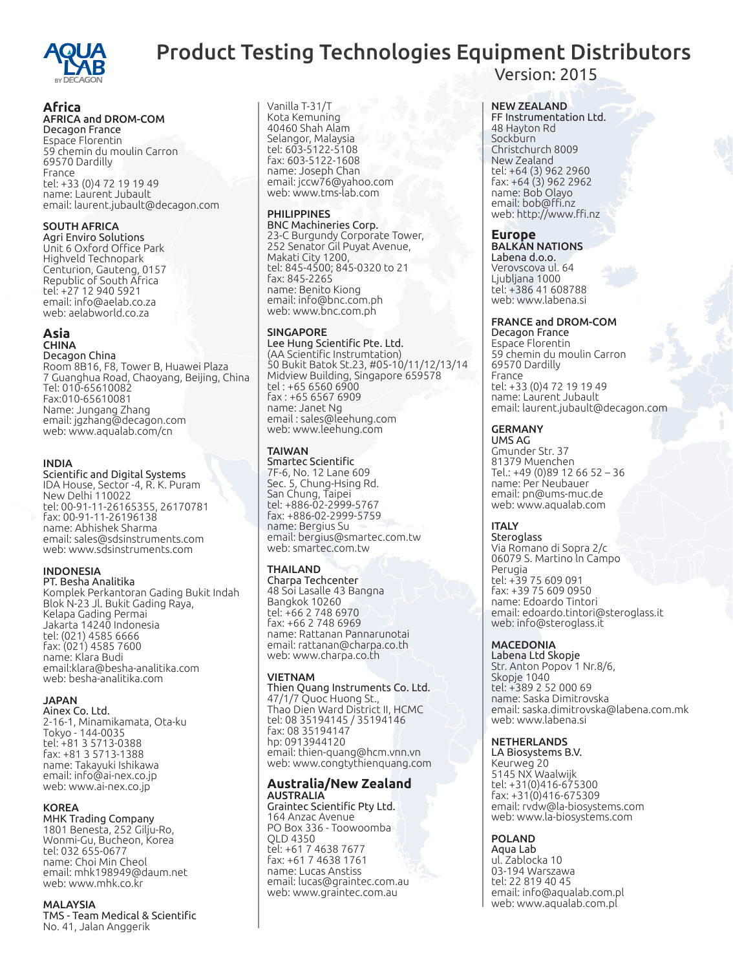

# Product Testing Technologies Equipment Distributors

# **Africa**

# AFRICA and DROM-COM

Decagon France Espace Florentin 59 chemin du moulin Carron 69570 Dardilly France tel: +33 (0)4 72 19 19 49 name: Laurent Jubault email: laurent.jubault@decagon.com

### SOUTH AFRICA

Agri Enviro Solutions Unit 6 Oxford Office Park Highveld Technopark Centurion, Gauteng, 0157 Republic of South Africa tel: +27 12 940 5921 email: info@aelab.co.za web: aelabworld.co.za

#### **Asia** CHINA

Decagon China Room 8B16, F8, Tower B, Huawei Plaza 7 Guanghua Road, Chaoyang, Beijing, China Tel: 010-65610082 Fax:010-65610081 Name: Jungang Zhang email: jgzhang@decagon.com web: www.aqualab.com/cn

#### INDIA

Scientific and Digital Systems IDA House, Sector -4, R. K. Puram New Delhi 110022 tel: 00-91-11-26165355, 26170781 fax: 00-91-11-26196138 name: Abhishek Sharma email: sales@sdsinstruments.com web: www.sdsinstruments.com

### INDONESIA

PT. Besha Analitika Komplek Perkantoran Gading Bukit Indah Blok N-23 Jl. Bukit Gading Raya, Kelapa Gading Permai Jakarta 14240 Indonesia tel: (021) 4585 6666 fax: (021) 4585 7600 name: Klara Budi email:klara@besha-analitika.com web: besha-analitika.com

# JAPAN

Ainex Co. Ltd. 2-16-1, Minamikamata, Ota-ku Tokyo - 144-0035 tel: +81 3 5713-0388 fax: +81 3 5713-1388 name: Takayuki Ishikawa email: info@ai-nex.co.jp web: www.ai-nex.co.jp

KOREA<br>MHK Trading Company 1801 Benesta, 252 Gilju-Ro, Wonmi-Gu, Bucheon, Korea tel: 032 655-0677 name: Choi Min Cheol email: mhk198949@daum.net web: www.mhk.co.kr

### MALAYSIA

TMS - Team Medical & Scientific No. 41, Jalan Anggerik

Vanilla T-31/T Kota Kemuning 40460 Shah Alam Selangor, Malaysia tel: 603-5122-5108 fax: 603-5122-1608 name: Joseph Chan email: jccw76@yahoo.com web: www.tms-lab.com

# PHILIPPINES

BNC Machineries Corp. 23-C Burgundy Corporate Tower, 252 Senator Gil Puyat Avenue, Makati City 1200, tel: 845-4500; 845-0320 to 21 fax: 845-2265 name: Benito Kiong email: info@bnc.com.ph web: www.bnc.com.ph

### SINGAPORE

Lee Hung Scientific Pte. Ltd. (AA Scientific Instrumtation) 50 Bukit Batok St.23, #05-10/11/12/13/14 Midview Building, Singapore 659578 tel : +65 6560 6900 fax : +65 6567 6909 name: Janet Ng email : sales@leehung.com web: www.leehung.com

# TAIWAN

Smartec Scientific 7F-6, No. 12 Lane 609 Sec. 5, Chung-Hsing Rd. San Chung, Taipei tel: +886-02-2999-5767 fax: +886-02-2999-5759 name: Bergius Su email: bergius@smartec.com.tw web: smartec.com.tw

# THAILAND

Charpa Techcenter 48 Soi Lasalle 43 Bangna Bangkok 10260 tel: +66 2 748 6970 fax: +66 2 748 6969 name: Rattanan Pannarunotai email: rattanan@charpa.co.th web: www.charpa.co.th

### VIETNAM

Thien Quang Instruments Co. Ltd. 47/1/7 Quoc Huong St., Thao Dien Ward District II, HCMC tel: 08 35194145 / 35194146 fax: 08 35194147 hp: 0913944120 email: thien-quang@hcm.vnn.vn web: www.congtythienquang.com

#### **Australia/New Zealand** AUSTRALIA

Graintec Scientific Pty Ltd. 164 Anzac Avenue PO Box 336 - Toowoomba QLD 4350 tel: +61 7 4638 7677 fax: +61 7 4638 1761 name: Lucas Anstiss email: lucas@graintec.com.au web: www.graintec.com.au

Version: 2015

# NEW ZEALAND

FF Instrumentation Ltd. 48 Hayton Rd Sockburn Christchurch 8009 New Zealand tel: +64 (3) 962 2960 fax: +64 (3) 962 2962 name: Bob Olayo email: bob@ffi.nz web: http://www.ffi.nz

# **Europe**

BALKAN NATIONS Labena d.o.o. Verovscova ul. 64 Ljubljana 1000 tel: +386 41 608788 web: www.labena.si

# FRANCE and DROM-COM

Decagon France Espace Florentin 59 chemin du moulin Carron 69570 Dardilly France tel: +33 (0)4 72 19 19 49 name: Laurent Jubault email: laurent.jubault@decagon.com

### GERMANY

UMS AG Gmunder Str. 37 81379 Muenchen Tel.: +49 (0)89 12 66 52 – 36 name: Per Neubauer email: pn@ums-muc.de web: www.aqualab.com

### ITALY

**Steroglass** Via Romano di Sopra 2/c 06079 S. Martino ln Campo Perugia tel: +39 75 609 091 fax: +39 75 609 0950 name: Edoardo Tintori email: edoardo.tintori@steroglass.it web: info@steroglass.it

### MACEDONIA

Labena Ltd Skopje Str. Anton Popov 1 Nr.8/6, Skopje 1040 tel: +389 2 52 000 69 name: Saska Dimitrovska email: saska.dimitrovska@labena.com.mk web: www.labena.si

### NETHERLANDS

LA Biosystems B.V. Keurweg 20 5145 NX Waalwijk tel: +31(0)416-675300  $fax: +31(0)416-675309$ email: rvdw@la-biosystems.com web: www.la-biosystems.com

# POLAND

Aqua Lab ul. Zablocka 10 03-194 Warszawa tel: 22 819 40 45 email: info@aqualab.com.pl web: www.aqualab.com.pl